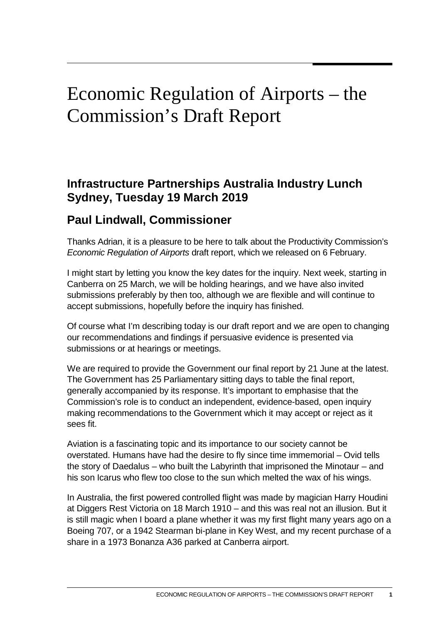## Economic Regulation of Airports – the Commission's Draft Report

## **Infrastructure Partnerships Australia Industry Lunch Sydney, Tuesday 19 March 2019**

## **Paul Lindwall, Commissioner**

Thanks Adrian, it is a pleasure to be here to talk about the Productivity Commission's *Economic Regulation of Airports* draft report, which we released on 6 February.

I might start by letting you know the key dates for the inquiry. Next week, starting in Canberra on 25 March, we will be holding hearings, and we have also invited submissions preferably by then too, although we are flexible and will continue to accept submissions, hopefully before the inquiry has finished.

Of course what I'm describing today is our draft report and we are open to changing our recommendations and findings if persuasive evidence is presented via submissions or at hearings or meetings.

We are required to provide the Government our final report by 21 June at the latest. The Government has 25 Parliamentary sitting days to table the final report, generally accompanied by its response. It's important to emphasise that the Commission's role is to conduct an independent, evidence-based, open inquiry making recommendations to the Government which it may accept or reject as it sees fit.

Aviation is a fascinating topic and its importance to our society cannot be overstated. Humans have had the desire to fly since time immemorial – Ovid tells the story of Daedalus – who built the Labyrinth that imprisoned the Minotaur – and his son Icarus who flew too close to the sun which melted the wax of his wings.

In Australia, the first powered controlled flight was made by magician Harry Houdini at Diggers Rest Victoria on 18 March 1910 – and this was real not an illusion. But it is still magic when I board a plane whether it was my first flight many years ago on a Boeing 707, or a 1942 Stearman bi-plane in Key West, and my recent purchase of a share in a 1973 Bonanza A36 parked at Canberra airport.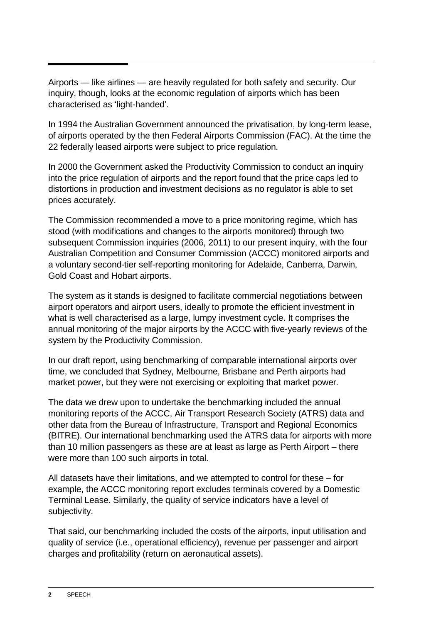Airports — like airlines — are heavily regulated for both safety and security. Our inquiry, though, looks at the economic regulation of airports which has been characterised as 'light-handed'.

In 1994 the Australian Government announced the privatisation, by long-term lease, of airports operated by the then Federal Airports Commission (FAC). At the time the 22 federally leased airports were subject to price regulation.

In 2000 the Government asked the Productivity Commission to conduct an inquiry into the price regulation of airports and the report found that the price caps led to distortions in production and investment decisions as no regulator is able to set prices accurately.

The Commission recommended a move to a price monitoring regime, which has stood (with modifications and changes to the airports monitored) through two subsequent Commission inquiries (2006, 2011) to our present inquiry, with the four Australian Competition and Consumer Commission (ACCC) monitored airports and a voluntary second-tier self-reporting monitoring for Adelaide, Canberra, Darwin, Gold Coast and Hobart airports.

The system as it stands is designed to facilitate commercial negotiations between airport operators and airport users, ideally to promote the efficient investment in what is well characterised as a large, lumpy investment cycle. It comprises the annual monitoring of the major airports by the ACCC with five-yearly reviews of the system by the Productivity Commission.

In our draft report, using benchmarking of comparable international airports over time, we concluded that Sydney, Melbourne, Brisbane and Perth airports had market power, but they were not exercising or exploiting that market power.

The data we drew upon to undertake the benchmarking included the annual monitoring reports of the ACCC, Air Transport Research Society (ATRS) data and other data from the Bureau of Infrastructure, Transport and Regional Economics (BITRE). Our international benchmarking used the ATRS data for airports with more than 10 million passengers as these are at least as large as Perth Airport – there were more than 100 such airports in total.

All datasets have their limitations, and we attempted to control for these – for example, the ACCC monitoring report excludes terminals covered by a Domestic Terminal Lease. Similarly, the quality of service indicators have a level of subjectivity.

That said, our benchmarking included the costs of the airports, input utilisation and quality of service (i.e., operational efficiency), revenue per passenger and airport charges and profitability (return on aeronautical assets).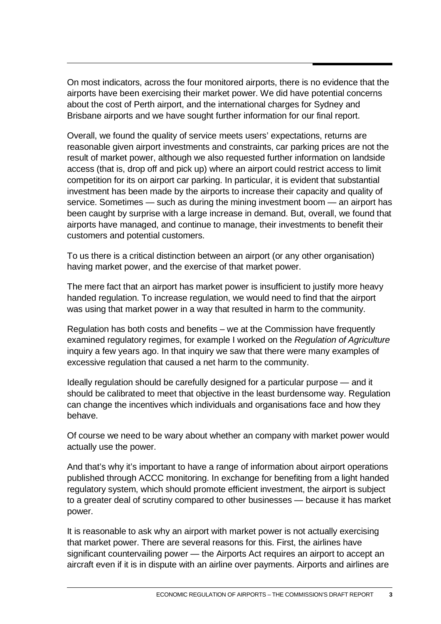On most indicators, across the four monitored airports, there is no evidence that the airports have been exercising their market power. We did have potential concerns about the cost of Perth airport, and the international charges for Sydney and Brisbane airports and we have sought further information for our final report.

Overall, we found the quality of service meets users' expectations, returns are reasonable given airport investments and constraints, car parking prices are not the result of market power, although we also requested further information on landside access (that is, drop off and pick up) where an airport could restrict access to limit competition for its on airport car parking. In particular, it is evident that substantial investment has been made by the airports to increase their capacity and quality of service. Sometimes — such as during the mining investment boom — an airport has been caught by surprise with a large increase in demand. But, overall, we found that airports have managed, and continue to manage, their investments to benefit their customers and potential customers.

To us there is a critical distinction between an airport (or any other organisation) having market power, and the exercise of that market power.

The mere fact that an airport has market power is insufficient to justify more heavy handed regulation. To increase regulation, we would need to find that the airport was using that market power in a way that resulted in harm to the community.

Regulation has both costs and benefits – we at the Commission have frequently examined regulatory regimes, for example I worked on the *Regulation of Agriculture* inquiry a few years ago. In that inquiry we saw that there were many examples of excessive regulation that caused a net harm to the community.

Ideally regulation should be carefully designed for a particular purpose — and it should be calibrated to meet that objective in the least burdensome way. Regulation can change the incentives which individuals and organisations face and how they behave.

Of course we need to be wary about whether an company with market power would actually use the power.

And that's why it's important to have a range of information about airport operations published through ACCC monitoring. In exchange for benefiting from a light handed regulatory system, which should promote efficient investment, the airport is subject to a greater deal of scrutiny compared to other businesses — because it has market power.

It is reasonable to ask why an airport with market power is not actually exercising that market power. There are several reasons for this. First, the airlines have significant countervailing power — the Airports Act requires an airport to accept an aircraft even if it is in dispute with an airline over payments. Airports and airlines are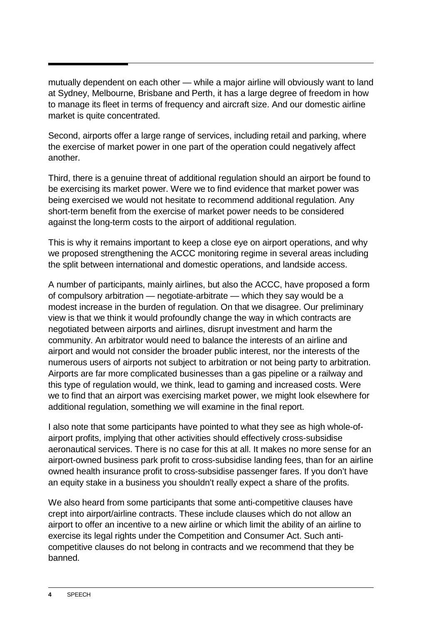mutually dependent on each other — while a major airline will obviously want to land at Sydney, Melbourne, Brisbane and Perth, it has a large degree of freedom in how to manage its fleet in terms of frequency and aircraft size. And our domestic airline market is quite concentrated.

Second, airports offer a large range of services, including retail and parking, where the exercise of market power in one part of the operation could negatively affect another.

Third, there is a genuine threat of additional regulation should an airport be found to be exercising its market power. Were we to find evidence that market power was being exercised we would not hesitate to recommend additional regulation. Any short-term benefit from the exercise of market power needs to be considered against the long-term costs to the airport of additional regulation.

This is why it remains important to keep a close eye on airport operations, and why we proposed strengthening the ACCC monitoring regime in several areas including the split between international and domestic operations, and landside access.

A number of participants, mainly airlines, but also the ACCC, have proposed a form of compulsory arbitration — negotiate-arbitrate — which they say would be a modest increase in the burden of regulation. On that we disagree. Our preliminary view is that we think it would profoundly change the way in which contracts are negotiated between airports and airlines, disrupt investment and harm the community. An arbitrator would need to balance the interests of an airline and airport and would not consider the broader public interest, nor the interests of the numerous users of airports not subject to arbitration or not being party to arbitration. Airports are far more complicated businesses than a gas pipeline or a railway and this type of regulation would, we think, lead to gaming and increased costs. Were we to find that an airport was exercising market power, we might look elsewhere for additional regulation, something we will examine in the final report.

I also note that some participants have pointed to what they see as high whole-ofairport profits, implying that other activities should effectively cross-subsidise aeronautical services. There is no case for this at all. It makes no more sense for an airport-owned business park profit to cross-subsidise landing fees, than for an airline owned health insurance profit to cross-subsidise passenger fares. If you don't have an equity stake in a business you shouldn't really expect a share of the profits.

We also heard from some participants that some anti-competitive clauses have crept into airport/airline contracts. These include clauses which do not allow an airport to offer an incentive to a new airline or which limit the ability of an airline to exercise its legal rights under the Competition and Consumer Act. Such anticompetitive clauses do not belong in contracts and we recommend that they be banned.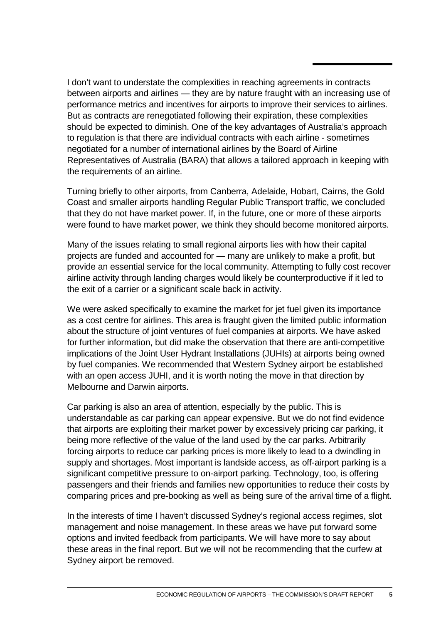I don't want to understate the complexities in reaching agreements in contracts between airports and airlines — they are by nature fraught with an increasing use of performance metrics and incentives for airports to improve their services to airlines. But as contracts are renegotiated following their expiration, these complexities should be expected to diminish. One of the key advantages of Australia's approach to regulation is that there are individual contracts with each airline - sometimes negotiated for a number of international airlines by the Board of Airline Representatives of Australia (BARA) that allows a tailored approach in keeping with the requirements of an airline.

Turning briefly to other airports, from Canberra, Adelaide, Hobart, Cairns, the Gold Coast and smaller airports handling Regular Public Transport traffic, we concluded that they do not have market power. If, in the future, one or more of these airports were found to have market power, we think they should become monitored airports.

Many of the issues relating to small regional airports lies with how their capital projects are funded and accounted for — many are unlikely to make a profit, but provide an essential service for the local community. Attempting to fully cost recover airline activity through landing charges would likely be counterproductive if it led to the exit of a carrier or a significant scale back in activity.

We were asked specifically to examine the market for jet fuel given its importance as a cost centre for airlines. This area is fraught given the limited public information about the structure of joint ventures of fuel companies at airports. We have asked for further information, but did make the observation that there are anti-competitive implications of the Joint User Hydrant Installations (JUHIs) at airports being owned by fuel companies. We recommended that Western Sydney airport be established with an open access JUHI, and it is worth noting the move in that direction by Melbourne and Darwin airports.

Car parking is also an area of attention, especially by the public. This is understandable as car parking can appear expensive. But we do not find evidence that airports are exploiting their market power by excessively pricing car parking, it being more reflective of the value of the land used by the car parks. Arbitrarily forcing airports to reduce car parking prices is more likely to lead to a dwindling in supply and shortages. Most important is landside access, as off-airport parking is a significant competitive pressure to on-airport parking. Technology, too, is offering passengers and their friends and families new opportunities to reduce their costs by comparing prices and pre-booking as well as being sure of the arrival time of a flight.

In the interests of time I haven't discussed Sydney's regional access regimes, slot management and noise management. In these areas we have put forward some options and invited feedback from participants. We will have more to say about these areas in the final report. But we will not be recommending that the curfew at Sydney airport be removed.